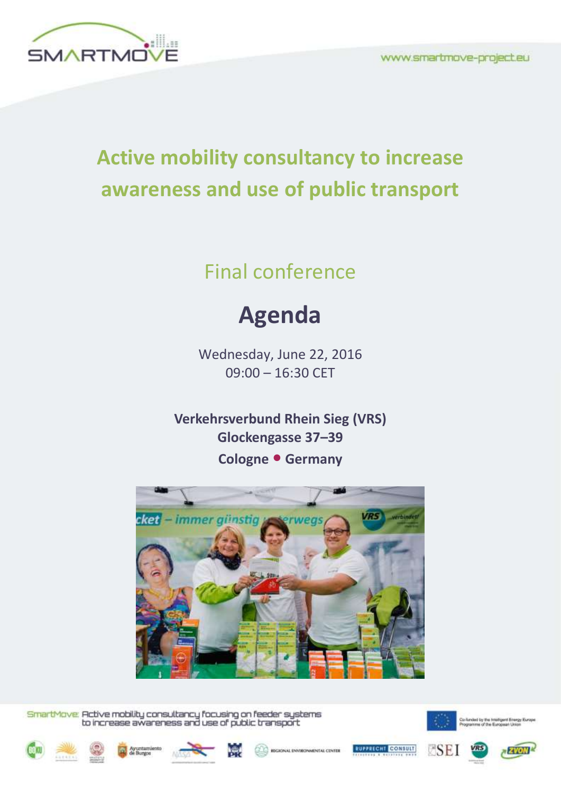

## **Active mobility consultancy to increase awareness and use of public transport**

## Final conference

## **Agenda**

Wednesday, June 22, 2016 09:00 – 16:30 CET

**Verkehrsverbund Rhein Sieg (VRS) Glockengasse 37–39 Cologne • Germany**



SmartMove: Active mobility consultancy focusing on feeder systems<br>to increase awareness and use of public transport



- SEI













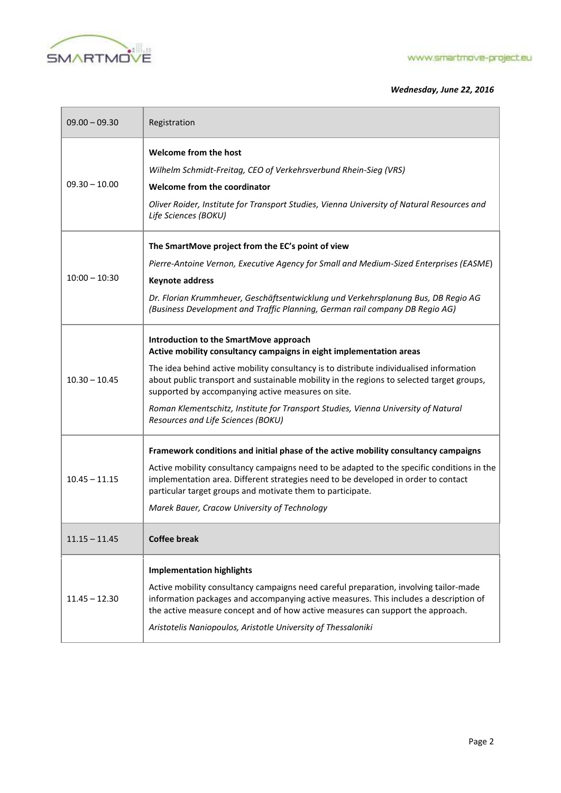

Î.

## *Wednesday, June 22, 2016*

| $09.00 - 09.30$ | Registration                                                                                                                                                                                                                                                                                                                                                                                                                                                                            |
|-----------------|-----------------------------------------------------------------------------------------------------------------------------------------------------------------------------------------------------------------------------------------------------------------------------------------------------------------------------------------------------------------------------------------------------------------------------------------------------------------------------------------|
| $09.30 - 10.00$ | Welcome from the host<br>Wilhelm Schmidt-Freitag, CEO of Verkehrsverbund Rhein-Sieg (VRS)<br>Welcome from the coordinator<br>Oliver Roider, Institute for Transport Studies, Vienna University of Natural Resources and<br>Life Sciences (BOKU)                                                                                                                                                                                                                                         |
| $10:00 - 10:30$ | The SmartMove project from the EC's point of view<br>Pierre-Antoine Vernon, Executive Agency for Small and Medium-Sized Enterprises (EASME)<br><b>Keynote address</b><br>Dr. Florian Krummheuer, Geschäftsentwicklung und Verkehrsplanung Bus, DB Regio AG<br>(Business Development and Traffic Planning, German rail company DB Regio AG)                                                                                                                                              |
| $10.30 - 10.45$ | Introduction to the SmartMove approach<br>Active mobility consultancy campaigns in eight implementation areas<br>The idea behind active mobility consultancy is to distribute individualised information<br>about public transport and sustainable mobility in the regions to selected target groups,<br>supported by accompanying active measures on site.<br>Roman Klementschitz, Institute for Transport Studies, Vienna University of Natural<br>Resources and Life Sciences (BOKU) |
| $10.45 - 11.15$ | Framework conditions and initial phase of the active mobility consultancy campaigns<br>Active mobility consultancy campaigns need to be adapted to the specific conditions in the<br>implementation area. Different strategies need to be developed in order to contact<br>particular target groups and motivate them to participate.<br>Marek Bauer, Cracow University of Technology                                                                                                   |
| $11.15 - 11.45$ | <b>Coffee break</b>                                                                                                                                                                                                                                                                                                                                                                                                                                                                     |
| $11.45 - 12.30$ | <b>Implementation highlights</b><br>Active mobility consultancy campaigns need careful preparation, involving tailor-made<br>information packages and accompanying active measures. This includes a description of<br>the active measure concept and of how active measures can support the approach.<br>Aristotelis Naniopoulos, Aristotle University of Thessaloniki                                                                                                                  |